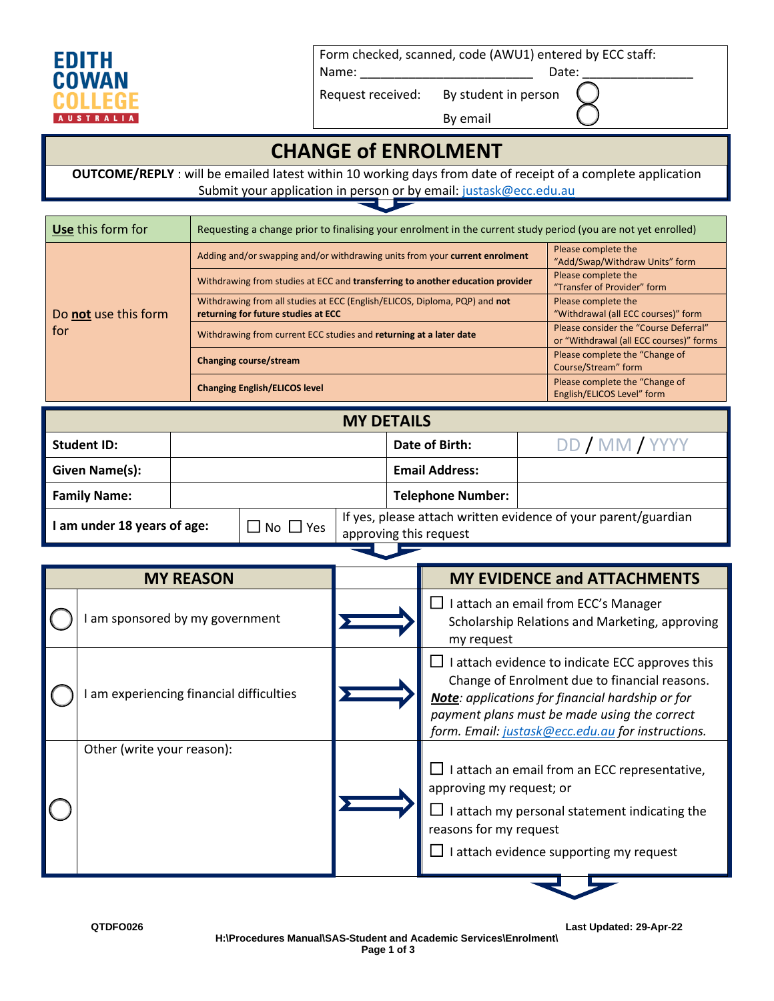

Form checked, scanned, code (AWU1) entered by ECC staff:

Name: \_\_\_\_\_\_\_\_\_\_\_\_\_\_\_\_\_\_\_\_\_\_\_\_\_ Date: \_\_\_\_\_\_\_\_\_\_\_\_\_\_\_\_

Request received: By student in person

By email

## **CHANGE of ENROLMENT**

**OUTCOME/REPLY** : will be emailed latest within 10 working days from date of receipt of a complete application Submit your application in person or by email[: justask@ecc.edu.au](mailto:justask@ecc.edu.au)

| Use this form for    | Requesting a change prior to finalising your enrolment in the current study period (you are not yet enrolled)     |                                                                                  |  |
|----------------------|-------------------------------------------------------------------------------------------------------------------|----------------------------------------------------------------------------------|--|
|                      | Adding and/or swapping and/or withdrawing units from your current enrolment                                       | Please complete the<br>"Add/Swap/Withdraw Units" form                            |  |
|                      | Withdrawing from studies at ECC and transferring to another education provider                                    | Please complete the<br>"Transfer of Provider" form                               |  |
| Do not use this form | Withdrawing from all studies at ECC (English/ELICOS, Diploma, PQP) and not<br>returning for future studies at ECC | Please complete the<br>"Withdrawal (all ECC courses)" form                       |  |
| for                  | Withdrawing from current ECC studies and returning at a later date                                                | Please consider the "Course Deferral"<br>or "Withdrawal (all ECC courses)" forms |  |
|                      | Changing course/stream                                                                                            | Please complete the "Change of<br>Course/Stream" form                            |  |
|                      | <b>Changing English/ELICOS level</b>                                                                              | Please complete the "Change of<br>English/ELICOS Level" form                     |  |

| <b>MY DETAILS</b>                                       |  |                        |                                                                |                          |                |
|---------------------------------------------------------|--|------------------------|----------------------------------------------------------------|--------------------------|----------------|
| <b>Student ID:</b>                                      |  |                        |                                                                | Date of Birth:           | DD / MM / YYYY |
| Given Name(s):                                          |  |                        |                                                                | <b>Email Address:</b>    |                |
| <b>Family Name:</b>                                     |  |                        |                                                                | <b>Telephone Number:</b> |                |
| $\square$ No $\square$ Yes<br>am under 18 years of age: |  | approving this request | If yes, please attach written evidence of your parent/guardian |                          |                |

| am sponsored by my government          | I attach an email from ECC's Manager<br>Scholarship Relations and Marketing, approving                                                                                                                                                                           |
|----------------------------------------|------------------------------------------------------------------------------------------------------------------------------------------------------------------------------------------------------------------------------------------------------------------|
|                                        | my request                                                                                                                                                                                                                                                       |
| am experiencing financial difficulties | I attach evidence to indicate ECC approves this<br>Change of Enrolment due to financial reasons.<br><b>Note:</b> applications for financial hardship or for<br>payment plans must be made using the correct<br>form. Email: justask@ecc.edu.au for instructions. |
| Other (write your reason):             | l attach an email from an ECC representative,<br>approving my request; or<br>I attach my personal statement indicating the<br>reasons for my request<br>I attach evidence supporting my request                                                                  |

**QTDFO026 Last Updated: 29-Apr-22**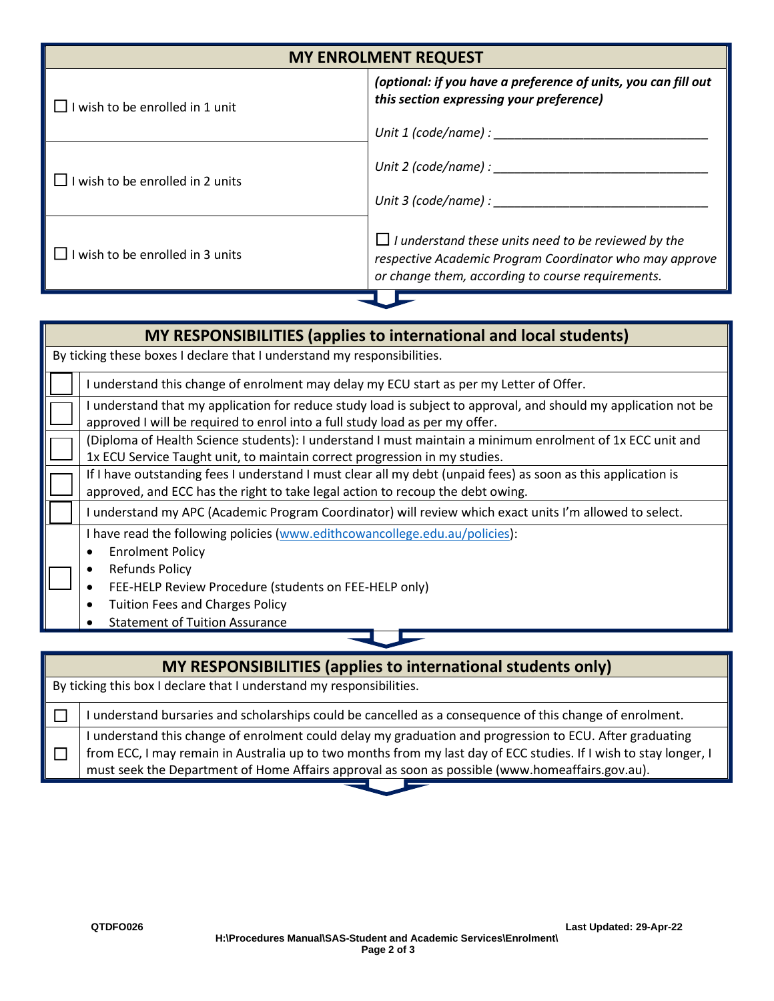| <b>MY ENROLMENT REQUEST</b>    |                                                                                                                                                                            |  |
|--------------------------------|----------------------------------------------------------------------------------------------------------------------------------------------------------------------------|--|
| wish to be enrolled in 1 unit  | (optional: if you have a preference of units, you can fill out<br>this section expressing your preference)                                                                 |  |
|                                | Unit $1$ (code/name) :                                                                                                                                                     |  |
| wish to be enrolled in 2 units | Unit 2 (code/name) : _________                                                                                                                                             |  |
|                                | Unit 3 (code/name) :                                                                                                                                                       |  |
| wish to be enrolled in 3 units | $\Box$ I understand these units need to be reviewed by the<br>respective Academic Program Coordinator who may approve<br>or change them, according to course requirements. |  |

| MY RESPONSIBILITIES (applies to international and local students)                                                                                                                                                                                                                             |  |  |  |
|-----------------------------------------------------------------------------------------------------------------------------------------------------------------------------------------------------------------------------------------------------------------------------------------------|--|--|--|
| By ticking these boxes I declare that I understand my responsibilities.                                                                                                                                                                                                                       |  |  |  |
| I understand this change of enrolment may delay my ECU start as per my Letter of Offer.                                                                                                                                                                                                       |  |  |  |
| understand that my application for reduce study load is subject to approval, and should my application not be<br>approved I will be required to enrol into a full study load as per my offer.                                                                                                 |  |  |  |
| (Diploma of Health Science students): I understand I must maintain a minimum enrolment of 1x ECC unit and<br>1x ECU Service Taught unit, to maintain correct progression in my studies.                                                                                                       |  |  |  |
| If I have outstanding fees I understand I must clear all my debt (unpaid fees) as soon as this application is<br>approved, and ECC has the right to take legal action to recoup the debt owing.                                                                                               |  |  |  |
| I understand my APC (Academic Program Coordinator) will review which exact units I'm allowed to select.                                                                                                                                                                                       |  |  |  |
| I have read the following policies (www.edithcowancollege.edu.au/policies):<br><b>Enrolment Policy</b><br><b>Refunds Policy</b><br>٠<br>FEE-HELP Review Procedure (students on FEE-HELP only)<br>$\bullet$<br><b>Tuition Fees and Charges Policy</b><br><b>Statement of Tuition Assurance</b> |  |  |  |
|                                                                                                                                                                                                                                                                                               |  |  |  |

| <b>MY RESPONSIBILITIES (applies to international students only)</b>  |                                                                                                                   |  |  |
|----------------------------------------------------------------------|-------------------------------------------------------------------------------------------------------------------|--|--|
| By ticking this box I declare that I understand my responsibilities. |                                                                                                                   |  |  |
|                                                                      | understand bursaries and scholarships could be cancelled as a consequence of this change of enrolment.            |  |  |
|                                                                      | understand this change of enrolment could delay my graduation and progression to ECU. After graduating            |  |  |
|                                                                      | from ECC, I may remain in Australia up to two months from my last day of ECC studies. If I wish to stay longer, I |  |  |
|                                                                      | must seek the Department of Home Affairs approval as soon as possible (www.homeaffairs.gov.au).                   |  |  |